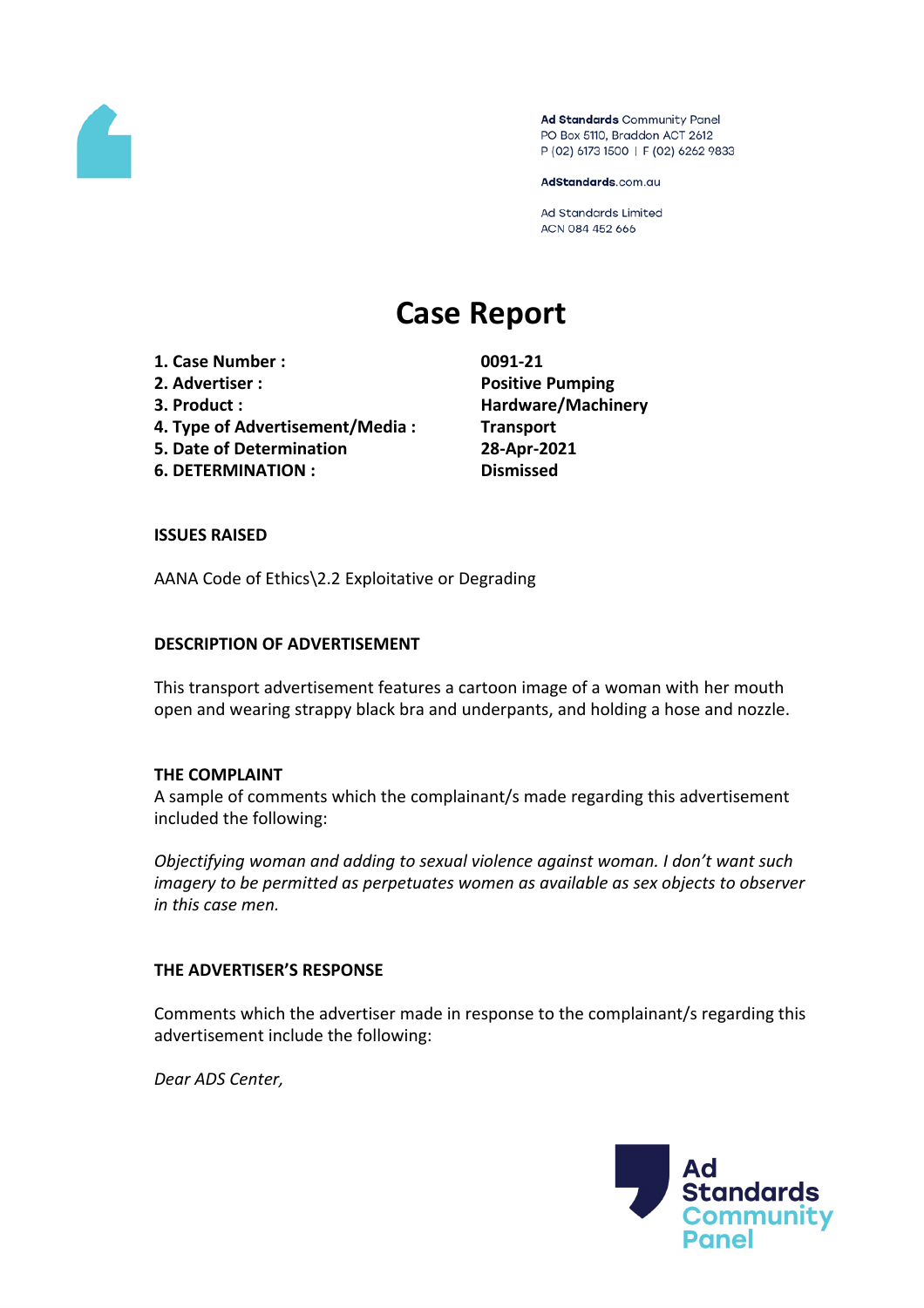

Ad Standards Community Panel PO Box 5110, Braddon ACT 2612 P (02) 6173 1500 | F (02) 6262 9833

AdStandards.com.au

Ad Standards Limited ACN 084 452 666

# **Case Report**

- **1. Case Number : 0091-21**
- 
- 
- **4. Type of Advertisement/Media : Transport**
- **5. Date of Determination 28-Apr-2021**
- **6. DETERMINATION : Dismissed**

**2. Advertiser : Positive Pumping 3. Product : Hardware/Machinery**

## **ISSUES RAISED**

AANA Code of Ethics\2.2 Exploitative or Degrading

#### **DESCRIPTION OF ADVERTISEMENT**

This transport advertisement features a cartoon image of a woman with her mouth open and wearing strappy black bra and underpants, and holding a hose and nozzle.

## **THE COMPLAINT**

A sample of comments which the complainant/s made regarding this advertisement included the following:

*Objectifying woman and adding to sexual violence against woman. I don't want such imagery to be permitted as perpetuates women as available as sex objects to observer in this case men.*

## **THE ADVERTISER'S RESPONSE**

Comments which the advertiser made in response to the complainant/s regarding this advertisement include the following:

*Dear ADS Center,*

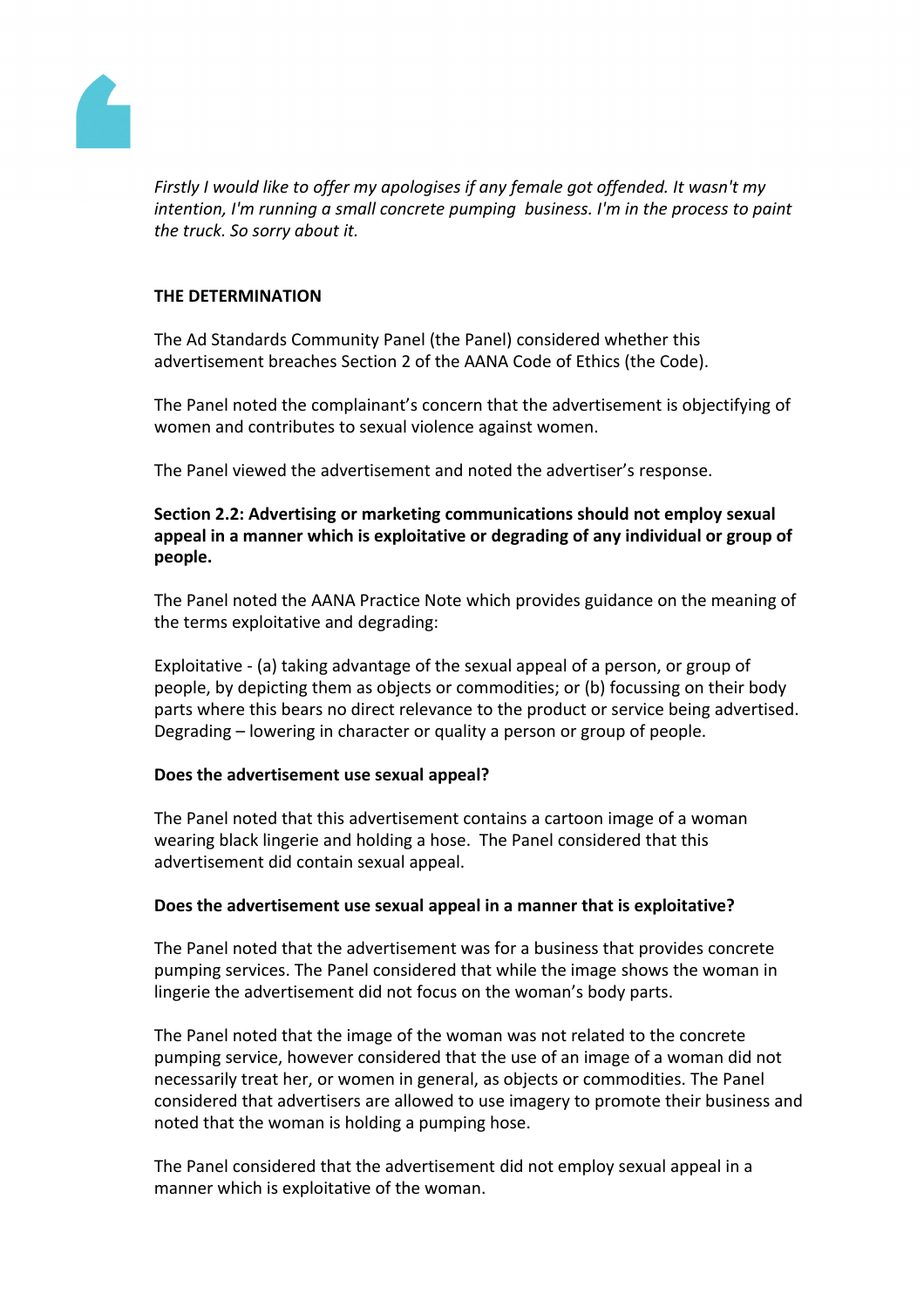

*Firstly I would like to offer my apologises if any female got offended. It wasn't my intention, I'm running a small concrete pumping business. I'm in the process to paint the truck. So sorry about it.*

#### **THE DETERMINATION**

The Ad Standards Community Panel (the Panel) considered whether this advertisement breaches Section 2 of the AANA Code of Ethics (the Code).

The Panel noted the complainant's concern that the advertisement is objectifying of women and contributes to sexual violence against women.

The Panel viewed the advertisement and noted the advertiser's response.

## **Section 2.2: Advertising or marketing communications should not employ sexual appeal in a manner which is exploitative or degrading of any individual or group of people.**

The Panel noted the AANA Practice Note which provides guidance on the meaning of the terms exploitative and degrading:

Exploitative - (a) taking advantage of the sexual appeal of a person, or group of people, by depicting them as objects or commodities; or (b) focussing on their body parts where this bears no direct relevance to the product or service being advertised. Degrading – lowering in character or quality a person or group of people.

#### **Does the advertisement use sexual appeal?**

The Panel noted that this advertisement contains a cartoon image of a woman wearing black lingerie and holding a hose. The Panel considered that this advertisement did contain sexual appeal.

## **Does the advertisement use sexual appeal in a manner that is exploitative?**

The Panel noted that the advertisement was for a business that provides concrete pumping services. The Panel considered that while the image shows the woman in lingerie the advertisement did not focus on the woman's body parts.

The Panel noted that the image of the woman was not related to the concrete pumping service, however considered that the use of an image of a woman did not necessarily treat her, or women in general, as objects or commodities. The Panel considered that advertisers are allowed to use imagery to promote their business and noted that the woman is holding a pumping hose.

The Panel considered that the advertisement did not employ sexual appeal in a manner which is exploitative of the woman.